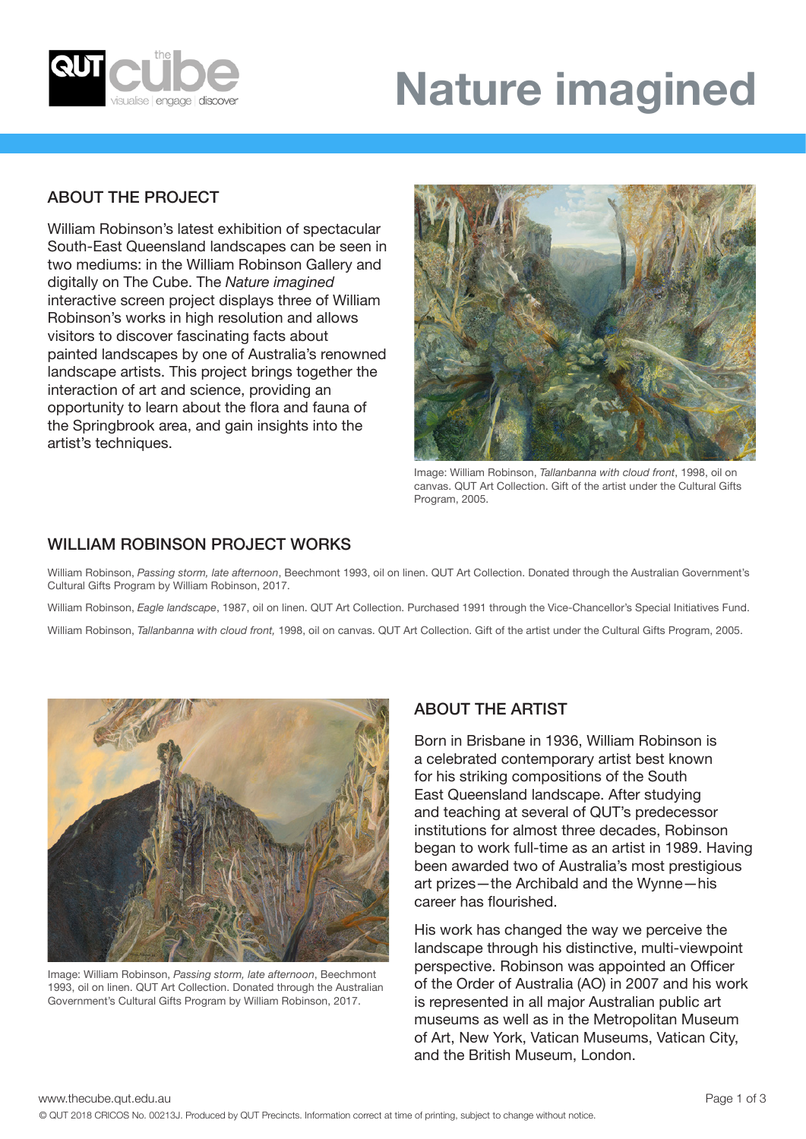

# **Nature imagined**

# ABOUT THE PROJECT

William Robinson's latest exhibition of spectacular South-East Queensland landscapes can be seen in two mediums: in the William Robinson Gallery and digitally on The Cube. The *Nature imagined*  interactive screen project displays three of William Robinson's works in high resolution and allows visitors to discover fascinating facts about painted landscapes by one of Australia's renowned landscape artists. This project brings together the interaction of art and science, providing an opportunity to learn about the flora and fauna of the Springbrook area, and gain insights into the artist's techniques.



Image: William Robinson, *Tallanbanna with cloud front*, 1998, oil on canvas. QUT Art Collection. Gift of the artist under the Cultural Gifts Program, 2005.

## WILLIAM ROBINSON PROJECT WORKS

William Robinson, *Passing storm, late afternoon*, Beechmont 1993, oil on linen. QUT Art Collection. Donated through the Australian Government's Cultural Gifts Program by William Robinson, 2017.

William Robinson, *Eagle landscape*, 1987, oil on linen. QUT Art Collection. Purchased 1991 through the Vice-Chancellor's Special Initiatives Fund.

William Robinson, *Tallanbanna with cloud front,* 1998, oil on canvas. QUT Art Collection. Gift of the artist under the Cultural Gifts Program, 2005.



Image: William Robinson, *Passing storm, late afternoon*, Beechmont 1993, oil on linen. QUT Art Collection. Donated through the Australian Government's Cultural Gifts Program by William Robinson, 2017.

### ABOUT THE ARTIST

Born in Brisbane in 1936, William Robinson is a celebrated contemporary artist best known for his striking compositions of the South East Queensland landscape. After studying and teaching at several of QUT's predecessor institutions for almost three decades, Robinson began to work full-time as an artist in 1989. Having been awarded two of Australia's most prestigious art prizes—the Archibald and the Wynne—his career has flourished.

His work has changed the way we perceive the landscape through his distinctive, multi-viewpoint perspective. Robinson was appointed an Officer of the Order of Australia (AO) in 2007 and his work is represented in all major Australian public art museums as well as in the Metropolitan Museum of Art, New York, Vatican Museums, Vatican City, and the British Museum, London.

www.thecube.qut.edu.au **Page 1 of 3**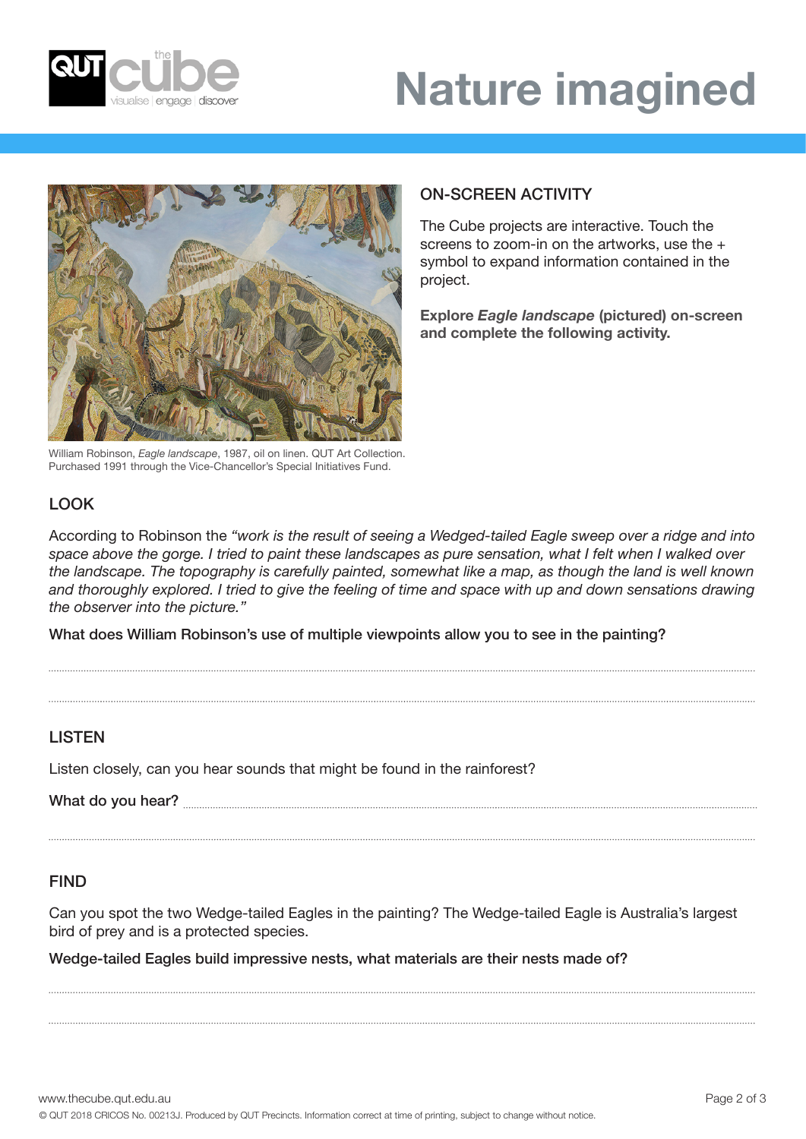



William Robinson, *Eagle landscape*, 1987, oil on linen. QUT Art Collection. Purchased 1991 through the Vice-Chancellor's Special Initiatives Fund.

# ON-SCREEN ACTIVITY

The Cube projects are interactive. Touch the screens to zoom-in on the artworks, use the + symbol to expand information contained in the project.

**Explore** *Eagle landscape* **(pictured) on-screen and complete the following activity.**

# LOOK

According to Robinson the *"work is the result of seeing a Wedged-tailed Eagle sweep over a ridge and into space above the gorge. I tried to paint these landscapes as pure sensation, what I felt when I walked over the landscape. The topography is carefully painted, somewhat like a map, as though the land is well known and thoroughly explored. I tried to give the feeling of time and space with up and down sensations drawing the observer into the picture."*

What does William Robinson's use of multiple viewpoints allow you to see in the painting?

#### **LISTEN**

Listen closely, can you hear sounds that might be found in the rainforest?

What do you hear?

#### FIND

Can you spot the two Wedge-tailed Eagles in the painting? The Wedge-tailed Eagle is Australia's largest bird of prey and is a protected species.

Wedge-tailed Eagles build impressive nests, what materials are their nests made of?